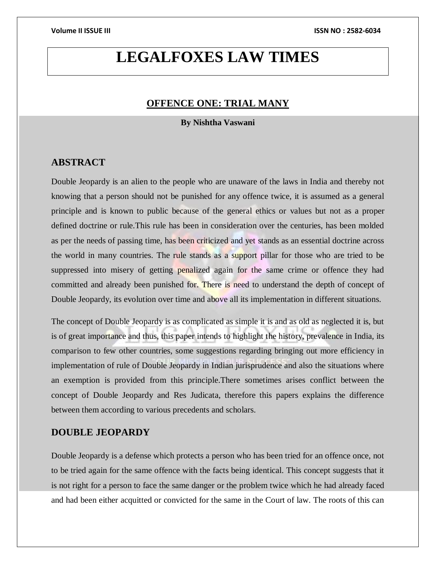# **LEGALFOXES LAW TIMES**

# **OFFENCE ONE: TRIAL MANY**

**By Nishtha Vaswani**

# **ABSTRACT**

Double Jeopardy is an alien to the people who are unaware of the laws in India and thereby not knowing that a person should not be punished for any offence twice, it is assumed as a general principle and is known to public because of the general ethics or values but not as a proper defined doctrine or rule.This rule has been in consideration over the centuries, has been molded as per the needs of passing time, has been criticized and yet stands as an essential doctrine across the world in many countries. The rule stands as a support pillar for those who are tried to be suppressed into misery of getting penalized again for the same crime or offence they had committed and already been punished for. There is need to understand the depth of concept of Double Jeopardy, its evolution over time and above all its implementation in different situations.

The concept of Double Jeopardy is as complicated as simple it is and as old as neglected it is, but is of great importance and thus, this paper intends to highlight the history, prevalence in India, its comparison to few other countries, some suggestions regarding bringing out more efficiency in implementation of rule of Double Jeopardy in Indian jurisprudence and also the situations where an exemption is provided from this principle.There sometimes arises conflict between the concept of Double Jeopardy and Res Judicata, therefore this papers explains the difference between them according to various precedents and scholars.

# **DOUBLE JEOPARDY**

Double Jeopardy is a defense which protects a person who has been tried for an offence once, not to be tried again for the same offence with the facts being identical. This concept suggests that it is not right for a person to face the same danger or the problem twice which he had already faced and had been either acquitted or convicted for the same in the Court of law. The roots of this can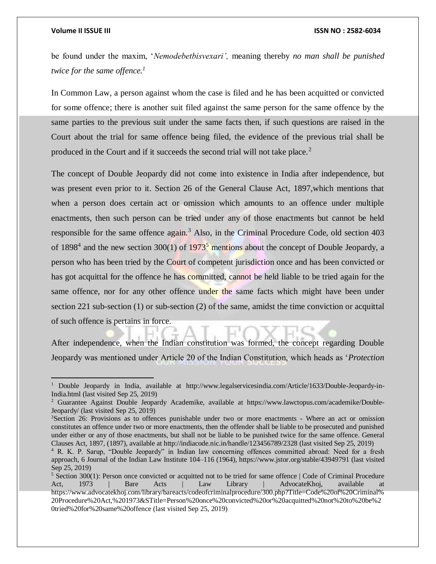### **Volume II ISSUE III ISSN NO : 2582-6034**

be found under the maxim, '*Nemodebetbisvexari',* meaning thereby *no man shall be punished twice for the same offence.<sup>1</sup>*

In Common Law, a person against whom the case is filed and he has been acquitted or convicted for some offence; there is another suit filed against the same person for the same offence by the same parties to the previous suit under the same facts then, if such questions are raised in the Court about the trial for same offence being filed, the evidence of the previous trial shall be produced in the Court and if it succeeds the second trial will not take place.<sup>2</sup>

The concept of Double Jeopardy did not come into existence in India after independence, but was present even prior to it. Section 26 of the General Clause Act, 1897,which mentions that when a person does certain act or omission which amounts to an offence under multiple enactments, then such person can be tried under any of those enactments but cannot be held responsible for the same offence again.<sup>3</sup> Also, in the Criminal Procedure Code, old section  $403$ of 1898<sup>4</sup> and the new section 300(1) of 1973<sup>5</sup> mentions about the concept of Double Jeopardy, a person who has been tried by the Court of competent jurisdiction once and has been convicted or has got acquittal for the offence he has committed, cannot be held liable to be tried again for the same offence, nor for any other offence under the same facts which might have been under section 221 sub-section (1) or sub-section (2) of the same, amidst the time conviction or acquittal of such offence is pertains in force.

After independence, when the Indian constitution was formed, the concept regarding Double Jeopardy was mentioned under Article 20 of the Indian Constitution, which heads as '*Protection* 

<sup>1</sup> Double Jeopardy in India, available at [http://www.legalservicesindia.com/Article/1633/Double-Jeopardy-in-](http://www.legalservicesindia.com/article/1633/Double-Jeopardy-in-India.html)[India.html](http://www.legalservicesindia.com/article/1633/Double-Jeopardy-in-India.html) (last visited Sep 25, 2019)

<sup>2</sup> Guarantee Against Double Jeopardy Academike, available at [https://www.lawctopus.com/academike/Double-](https://www.lawctopus.com/academike/double-jeopardy/)[Jeopardy/](https://www.lawctopus.com/academike/double-jeopardy/) (last visited Sep 25, 2019)

<sup>&</sup>lt;sup>3</sup>Section 26: Provisions as to offences punishable under two or more enactments - Where an act or omission constitutes an offence under two or more enactments, then the offender shall be liable to be prosecuted and punished under either or any of those enactments, but shall not be liable to be punished twice for the same offence. General Clauses Act, 1897, (1897), available at<http://indiacode.nic.in/handle/123456789/2328> (last visited Sep 25, 2019)

<sup>4</sup> R. K. P. Sarup, "Double Jeopardy" in Indian law concerning offences committed abroad: Need for a fresh approach, 6 Journal of the Indian Law Institute 104–116 (1964),<https://www.jstor.org/stable/43949791> (last visited Sep 25, 2019)

<sup>5</sup> Section 300(1): Person once convicted or acquitted not to be tried for same offence | Code of Criminal Procedure Act, 1973 | Bare Acts | Law Library | AdvocateKhoj, available at [https://www.advocatekhoj.com/library/bareacts/codeofcriminalprocedure/300.php?Title=Code%20of%20Criminal%](https://www.advocatekhoj.com/library/bareacts/codeofcriminalprocedure/300.php?Title=Code%20of%20Criminal%20Procedure%20Act,%201973&STitle=Person%20once%20convicted%20or%20acquitted%20not%20to%20be%20tried%20for%20same%20offence) [20Procedure%20Act,%201973&STitle=Person%20once%20convicted%20or%20acquitted%20not%20to%20be%2](https://www.advocatekhoj.com/library/bareacts/codeofcriminalprocedure/300.php?Title=Code%20of%20Criminal%20Procedure%20Act,%201973&STitle=Person%20once%20convicted%20or%20acquitted%20not%20to%20be%20tried%20for%20same%20offence) [0tried%20for%20same%20offence](https://www.advocatekhoj.com/library/bareacts/codeofcriminalprocedure/300.php?Title=Code%20of%20Criminal%20Procedure%20Act,%201973&STitle=Person%20once%20convicted%20or%20acquitted%20not%20to%20be%20tried%20for%20same%20offence) (last visited Sep 25, 2019)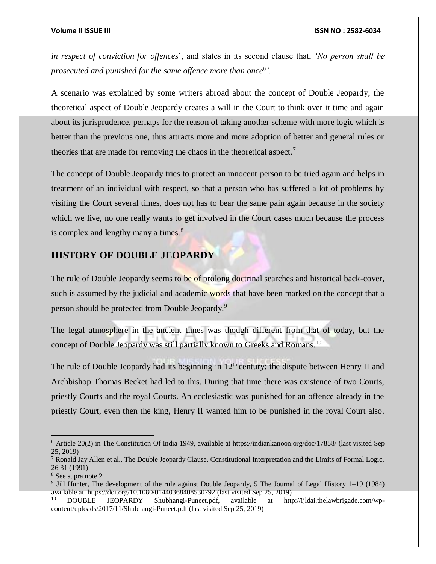*in respect of conviction for offences*', and states in its second clause that, *'No person shall be prosecuted and punished for the same offence more than once<sup>6</sup> '.* 

A scenario was explained by some writers abroad about the concept of Double Jeopardy; the theoretical aspect of Double Jeopardy creates a will in the Court to think over it time and again about its jurisprudence, perhaps for the reason of taking another scheme with more logic which is better than the previous one, thus attracts more and more adoption of better and general rules or theories that are made for removing the chaos in the theoretical aspect.<sup>7</sup>

The concept of Double Jeopardy tries to protect an innocent person to be tried again and helps in treatment of an individual with respect, so that a person who has suffered a lot of problems by visiting the Court several times, does not has to bear the same pain again because in the society which we live, no one really wants to get involved in the Court cases much because the process is complex and lengthy many a times. $\frac{8}{3}$ 

# **HISTORY OF DOUBLE JEOPARDY**

The rule of Double Jeopardy seems to be of prolong doctrinal searches and historical back-cover, such is assumed by the judicial and academic words that have been marked on the concept that a person should be protected from Double Jeopardy.<sup>9</sup>

The legal atmosphere in the ancient times was though different from that of today, but the concept of Double Jeopardy was still partially known to Greeks and Romans.<sup>10</sup>

The rule of Double Jeopardy had its beginning in  $12<sup>th</sup>$  century; the dispute between Henry II and Archbishop Thomas Becket had led to this. During that time there was existence of two Courts, priestly Courts and the royal Courts. An ecclesiastic was punished for an offence already in the priestly Court, even then the king, Henry II wanted him to be punished in the royal Court also.

 $6$  Article 20(2) in The Constitution Of India 1949, available at<https://indiankanoon.org/doc/17858/> (last visited Sep 25, 2019)

<sup>&</sup>lt;sup>7</sup> Ronald Jay Allen et al., The Double Jeopardy Clause, Constitutional Interpretation and the Limits of Formal Logic, 26 31 (1991)

<sup>8</sup> See supra note 2

<sup>&</sup>lt;sup>9</sup> Jill Hunter, The development of the rule against Double Jeopardy, 5 The Journal of Legal History 1–19 (1984) available at <https://doi.org/10.1080/01440368408530792> (last visited Sep 25, 2019)

<sup>10</sup> DOUBLE JEOPARDY Shubhangi-Puneet.pdf, available at [http://ijldai.thelawbrigade.com/wp](http://ijldai.thelawbrigade.com/wp-content/uploads/2017/11/Shubhangi-Puneet.pdf)[content/uploads/2017/11/Shubhangi-Puneet.pdf](http://ijldai.thelawbrigade.com/wp-content/uploads/2017/11/Shubhangi-Puneet.pdf) (last visited Sep 25, 2019)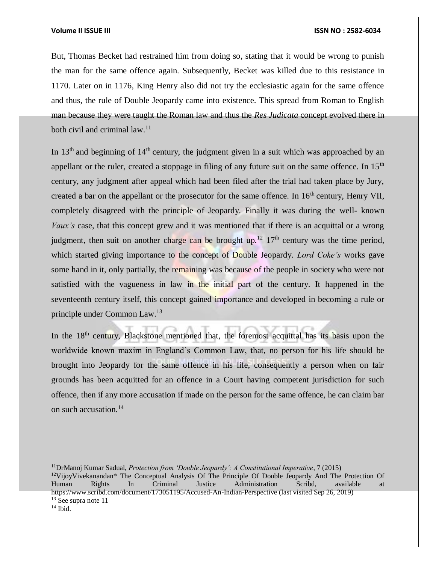But, Thomas Becket had restrained him from doing so, stating that it would be wrong to punish the man for the same offence again. Subsequently, Becket was killed due to this resistance in 1170. Later on in 1176, King Henry also did not try the ecclesiastic again for the same offence and thus, the rule of Double Jeopardy came into existence. This spread from Roman to English man because they were taught the Roman law and thus the *Res Judicata* concept evolved there in both civil and criminal law.<sup>11</sup>

In  $13<sup>th</sup>$  and beginning of  $14<sup>th</sup>$  century, the judgment given in a suit which was approached by an appellant or the ruler, created a stoppage in filing of any future suit on the same offence. In  $15<sup>th</sup>$ century, any judgment after appeal which had been filed after the trial had taken place by Jury, created a bar on the appellant or the prosecutor for the same offence. In  $16<sup>th</sup>$  century, Henry VII, completely disagreed with the principle of Jeopardy. Finally it was during the well- known *Vaux's* case, that this concept grew and it was mentioned that if there is an acquittal or a wrong judgment, then suit on another charge can be brought up.<sup>12</sup>  $17<sup>th</sup>$  century was the time period, which started giving importance to the concept of Double Jeopardy. *Lord Coke's* works gave some hand in it, only partially, the remaining was because of the people in society who were not satisfied with the vagueness in law in the initial part of the century. It happened in the seventeenth century itself, this concept gained importance and developed in becoming a rule or principle under Common Law.<sup>13</sup>

In the  $18<sup>th</sup>$  century, Blackstone mentioned that, the foremost acquittal has its basis upon the worldwide known maxim in England's Common Law, that, no person for his life should be brought into Jeopardy for the same offence in his life, consequently a person when on fair grounds has been acquitted for an offence in a Court having competent jurisdiction for such offence, then if any more accusation if made on the person for the same offence, he can claim bar on such accusation.<sup>14</sup>

<sup>11</sup>DrManoj Kumar Sadual, *Protection from 'Double Jeopardy': A Constitutional Imperative*, 7 (2015) <sup>12</sup>VijoyVivekanandan\* The Conceptual Analysis Of The Principle Of Double Jeopardy And The Protection Of Human Rights In Criminal Justice Administration Scribd, available at <https://www.scribd.com/document/173051195/Accused-An-Indian-Perspective> (last visited Sep 26, 2019) <sup>13</sup> See supra note 11

 $14$  Ibid.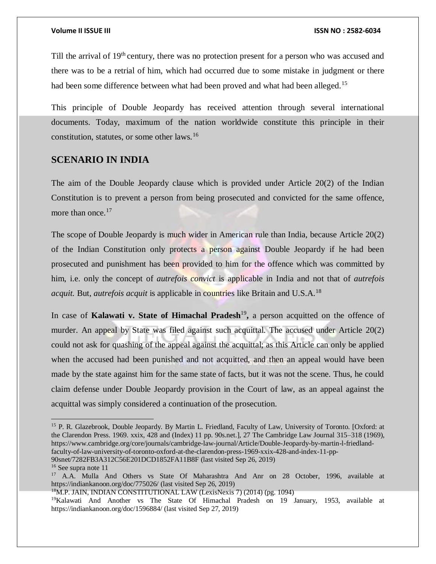Till the arrival of 19<sup>th</sup> century, there was no protection present for a person who was accused and there was to be a retrial of him, which had occurred due to some mistake in judgment or there had been some difference between what had been proved and what had been alleged.<sup>15</sup>

This principle of Double Jeopardy has received attention through several international documents. Today, maximum of the nation worldwide constitute this principle in their constitution, statutes, or some other laws.<sup>16</sup>

# **SCENARIO IN INDIA**

The aim of the Double Jeopardy clause which is provided under Article 20(2) of the Indian Constitution is to prevent a person from being prosecuted and convicted for the same offence, more than once.<sup>17</sup>

The scope of Double Jeopardy is much wider in American rule than India, because Article 20(2) of the Indian Constitution only protects a person against Double Jeopardy if he had been prosecuted and punishment has been provided to him for the offence which was committed by him, i.e. only the concept of *autrefois convict* is applicable in India and not that of *autrefois acquit.* But, *autrefois acquit* is applicable in countries like Britain and U.S.A.<sup>18</sup>

In case of **Kalawati v. State of Himachal Pradesh**<sup>19</sup>, a person acquitted on the offence of murder. An appeal by State was filed against such acquittal. The accused under Article 20(2) could not ask for quashing of the appeal against the acquittal; as this Article can only be applied when the accused had been punished and not acquitted, and then an appeal would have been made by the state against him for the same state of facts, but it was not the scene. Thus, he could claim defense under Double Jeopardy provision in the Court of law, as an appeal against the acquittal was simply considered a continuation of the prosecution.

[90snet/7282FB3A312C56E201DCD1852FA11B8F](https://www.cambridge.org/core/journals/cambridge-law-journal/article/double-jeopardy-by-martin-l-friedland-faculty-of-law-university-of-toronto-oxford-at-the-clarendon-press-1969-xxix-428-and-index-11-pp-90snet/7282FB3A312C56E201DCD1852FA11B8F) (last visited Sep 26, 2019)

<sup>15</sup> P. R. Glazebrook, Double Jeopardy. By Martin L. Friedland, Faculty of Law, University of Toronto. [Oxford: at the Clarendon Press. 1969. xxix, 428 and (Index) 11 pp. 90s.net.], 27 The Cambridge Law Journal 315–318 (1969), [https://www.cambridge.org/core/journals/cambridge-law-journal/Article/Double-Jeopardy-by-martin-l-friedland](https://www.cambridge.org/core/journals/cambridge-law-journal/article/double-jeopardy-by-martin-l-friedland-faculty-of-law-university-of-toronto-oxford-at-the-clarendon-press-1969-xxix-428-and-index-11-pp-90snet/7282FB3A312C56E201DCD1852FA11B8F)[faculty-of-law-university-of-toronto-oxford-at-the-clarendon-press-1969-xxix-428-and-index-11-pp-](https://www.cambridge.org/core/journals/cambridge-law-journal/article/double-jeopardy-by-martin-l-friedland-faculty-of-law-university-of-toronto-oxford-at-the-clarendon-press-1969-xxix-428-and-index-11-pp-90snet/7282FB3A312C56E201DCD1852FA11B8F)

<sup>&</sup>lt;sup>16</sup> See supra note 11

<sup>&</sup>lt;sup>17</sup> A.A. Mulla And Others vs State Of Maharashtra And Anr on 28 October, 1996, available at <https://indiankanoon.org/doc/775026/> (last visited Sep 26, 2019)

<sup>18</sup>M.P. JAIN, INDIAN CONSTITUTIONAL LAW (LexisNexis 7) (2014) (pg. 1094)

<sup>&</sup>lt;sup>19</sup>Kalawati And Another vs The State Of Himachal Pradesh on 19 January, 1953, available at <https://indiankanoon.org/doc/1596884/> (last visited Sep 27, 2019)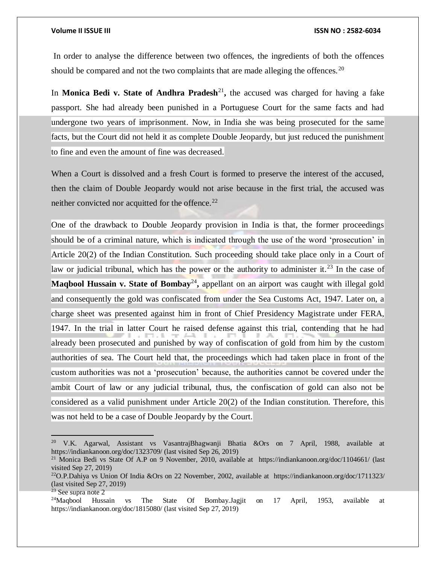In order to analyse the difference between two offences, the ingredients of both the offences should be compared and not the two complaints that are made alleging the offences.<sup>20</sup>

In Monica Bedi v. State of Andhra Pradesh<sup>21</sup>, the accused was charged for having a fake passport. She had already been punished in a Portuguese Court for the same facts and had undergone two years of imprisonment. Now, in India she was being prosecuted for the same facts, but the Court did not held it as complete Double Jeopardy, but just reduced the punishment to fine and even the amount of fine was decreased.

When a Court is dissolved and a fresh Court is formed to preserve the interest of the accused, then the claim of Double Jeopardy would not arise because in the first trial, the accused was neither convicted nor acquitted for the offence. $^{22}$ 

One of the drawback to Double Jeopardy provision in India is that, the former proceedings should be of a criminal nature, which is indicated through the use of the word 'prosecution' in Article 20(2) of the Indian Constitution. Such proceeding should take place only in a Court of law or judicial tribunal, which has the power or the authority to administer it.<sup>23</sup> In the case of **Maqbool Hussain v. State of Bombay<sup>24</sup>, appellant on an airport was caught with illegal gold** and consequently the gold was confiscated from under the Sea Customs Act, 1947. Later on, a charge sheet was presented against him in front of Chief Presidency Magistrate under FERA, 1947. In the trial in latter Court he raised defense against this trial, contending that he had already been prosecuted and punished by way of confiscation of gold from him by the custom authorities of sea. The Court held that, the proceedings which had taken place in front of the custom authorities was not a 'prosecution' because, the authorities cannot be covered under the ambit Court of law or any judicial tribunal, thus, the confiscation of gold can also not be considered as a valid punishment under Article 20(2) of the Indian constitution. Therefore, this was not held to be a case of Double Jeopardy by the Court.

<sup>20</sup> V.K. Agarwal, Assistant vs VasantrajBhagwanji Bhatia &Ors on 7 April, 1988, available at <https://indiankanoon.org/doc/1323709/> (last visited Sep 26, 2019)

<sup>&</sup>lt;sup>21</sup> Monica Bedi vs State Of A.P on 9 November, 2010, available at <https://indiankanoon.org/doc/1104661/> (last visited Sep 27, 2019)

<sup>22</sup>O.P.Dahiya vs Union Of India &Ors on 22 November, 2002, available at <https://indiankanoon.org/doc/1711323/> (last visited Sep 27, 2019)

 $23$  See supra note 2

<sup>&</sup>lt;sup>24</sup>Maqbool Hussain vs The State Of Bombay.Jagjit on 17 April, 1953, available at <https://indiankanoon.org/doc/1815080/> (last visited Sep 27, 2019)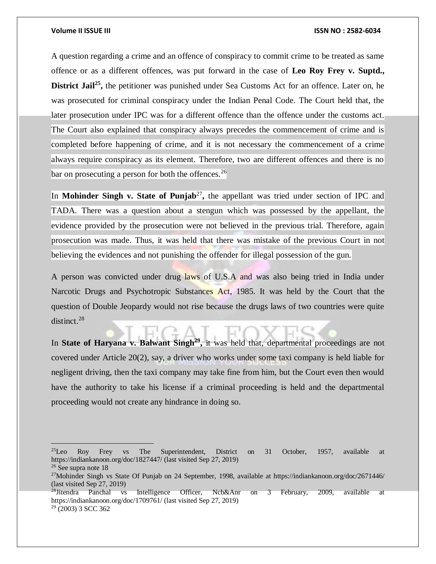A question regarding a crime and an offence of conspiracy to commit crime to be treated as same offence or as a different offences, was put forward in the case of **Leo Roy Frey v. Suptd.,**  District Jail<sup>25</sup>, the petitioner was punished under Sea Customs Act for an offence. Later on, he was prosecuted for criminal conspiracy under the Indian Penal Code. The Court held that, the later prosecution under IPC was for a different offence than the offence under the customs act. The Court also explained that conspiracy always precedes the commencement of crime and is completed before happening of crime, and it is not necessary the commencement of a crime always require conspiracy as its element. Therefore, two are different offences and there is no bar on prosecuting a person for both the offences.<sup>26</sup>

In **Mohinder Singh v. State of Punjab**<sup>27</sup>, the appellant was tried under section of IPC and TADA. There was a question about a stengun which was possessed by the appellant, the evidence provided by the prosecution were not believed in the previous trial. Therefore, again prosecution was made. Thus, it was held that there was mistake of the previous Court in not believing the evidences and not punishing the offender for illegal possession of the gun.

A person was convicted under drug laws of U.S.A and was also being tried in India under Narcotic Drugs and Psychotropic Substances Act, 1985. It was held by the Court that the question of Double Jeopardy would not rise because the drugs laws of two countries were quite distinct.<sup>28</sup>

In State of Haryana v. Balwant Singh<sup>29</sup>, it was held that, departmental proceedings are not covered under Article 20(2), say, a driver who works under some taxi company is held liable for negligent driving, then the taxi company may take fine from him, but the Court even then would have the authority to take his license if a criminal proceeding is held and the departmental proceeding would not create any hindrance in doing so.

 $^{25}$ Leo Roy Frey vs The Superintendent, District on 31 October, 1957, available at <https://indiankanoon.org/doc/1827447/> (last visited Sep 27, 2019)

<sup>26</sup> See supra note 18

<sup>27</sup>Mohinder Singh vs State Of Punjab on 24 September, 1998, available at<https://indiankanoon.org/doc/2671446/> (last visited Sep 27, 2019)<br> $28$ Jitendra Panchal vs

Intelligence Officer, Ncb&Anr on 3 February, 2009, available at <https://indiankanoon.org/doc/1709761/> (last visited Sep 27, 2019) <sup>29</sup> (2003) 3 SCC 362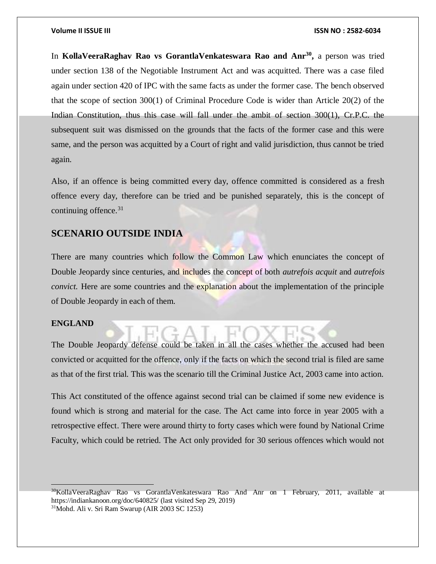In **KollaVeeraRaghav Rao vs GorantlaVenkateswara Rao and Anr<sup>30</sup> ,** a person was tried under section 138 of the Negotiable Instrument Act and was acquitted. There was a case filed again under section 420 of IPC with the same facts as under the former case. The bench observed that the scope of section 300(1) of Criminal Procedure Code is wider than Article 20(2) of the Indian Constitution, thus this case will fall under the ambit of section 300(1), Cr.P.C. the subsequent suit was dismissed on the grounds that the facts of the former case and this were same, and the person was acquitted by a Court of right and valid jurisdiction, thus cannot be tried again.

Also, if an offence is being committed every day, offence committed is considered as a fresh offence every day, therefore can be tried and be punished separately, this is the concept of continuing offence. $31$ 

# **SCENARIO OUTSIDE INDIA**

There are many countries which follow the Common Law which enunciates the concept of Double Jeopardy since centuries, and includes the concept of both *autrefois acquit* and *autrefois convict.* Here are some countries and the explanation about the implementation of the principle of Double Jeopardy in each of them.

### **ENGLAND**

 $\overline{a}$ 

The Double Jeopardy defense could be taken in all the cases whether the accused had been convicted or acquitted for the offence, only if the facts on which the second trial is filed are same as that of the first trial. This was the scenario till the Criminal Justice Act, 2003 came into action.

This Act constituted of the offence against second trial can be claimed if some new evidence is found which is strong and material for the case. The Act came into force in year 2005 with a retrospective effect. There were around thirty to forty cases which were found by National Crime Faculty, which could be retried. The Act only provided for 30 serious offences which would not

<sup>30</sup>KollaVeeraRaghav Rao vs GorantlaVenkateswara Rao And Anr on 1 February, 2011, available at <https://indiankanoon.org/doc/640825/> (last visited Sep 29, 2019)

<sup>31</sup>Mohd. Ali v. Sri Ram Swarup (AIR 2003 SC 1253)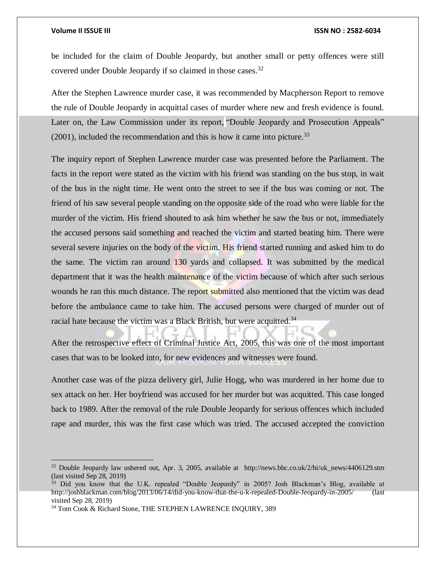$\overline{a}$ 

be included for the claim of Double Jeopardy, but another small or petty offences were still covered under Double Jeopardy if so claimed in those cases.<sup>32</sup>

After the Stephen Lawrence murder case, it was recommended by Macpherson Report to remove the rule of Double Jeopardy in acquittal cases of murder where new and fresh evidence is found. Later on, the Law Commission under its report, "Double Jeopardy and Prosecution Appeals"  $(2001)$ , included the recommendation and this is how it came into picture.<sup>33</sup>

The inquiry report of Stephen Lawrence murder case was presented before the Parliament. The facts in the report were stated as the victim with his friend was standing on the bus stop, in wait of the bus in the night time. He went onto the street to see if the bus was coming or not. The friend of his saw several people standing on the opposite side of the road who were liable for the murder of the victim. His friend shouted to ask him whether he saw the bus or not, immediately the accused persons said something and reached the victim and started beating him. There were several severe injuries on the body of the victim. His friend started running and asked him to do the same. The victim ran around 130 yards and collapsed. It was submitted by the medical department that it was the health maintenance of the victim because of which after such serious wounds he ran this much distance. The report submitted also mentioned that the victim was dead before the ambulance came to take him. The accused persons were charged of murder out of racial hate because the victim was a Black British, but were acquitted.<sup>34</sup>

After the retrospective effect of Criminal Justice Act, 2005, this was one of the most important cases that was to be looked into, for new evidences and witnesses were found.

Another case was of the pizza delivery girl, Julie Hogg, who was murdered in her home due to sex attack on her. Her boyfriend was accused for her murder but was acquitted. This case longed back to 1989. After the removal of the rule Double Jeopardy for serious offences which included rape and murder, this was the first case which was tried. The accused accepted the conviction

<sup>&</sup>lt;sup>32</sup> Double Jeopardy law ushered out, Apr. 3, 2005, available at http://news.bbc.co.uk/2/hi/uk news/4406129.stm (last visited Sep 28, 2019)

<sup>&</sup>lt;sup>33</sup> Did you know that the U.K. repealed "Double Jeopardy" in 2005? Josh Blackman's Blog, available at [http://joshblackman.com/blog/2013/06/14/did-you-know-that-the-u-k-repealed-Double-Jeopardy-in-2005/](http://joshblackman.com/blog/2013/06/14/did-you-know-that-the-u-k-repealed-double-jeopardy-in-2005/) (last visited Sep 28, 2019)

<sup>34</sup> Tom Cook & Richard Stone, THE STEPHEN LAWRENCE INQUIRY, 389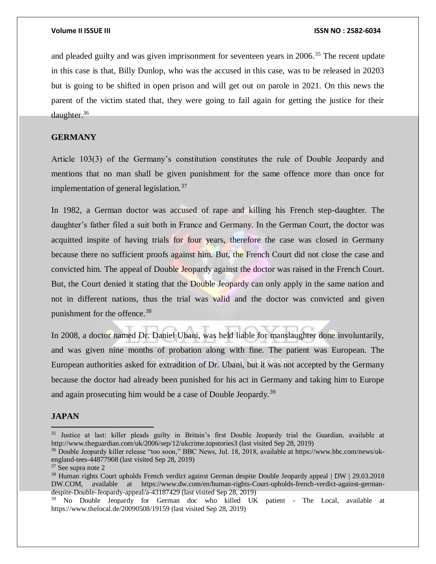and pleaded guilty and was given imprisonment for seventeen years in  $2006$ <sup>35</sup>. The recent update in this case is that, Billy Dunlop, who was the accused in this case, was to be released in 20203 but is going to be shifted in open prison and will get out on parole in 2021. On this news the parent of the victim stated that, they were going to fail again for getting the justice for their daughter.<sup>36</sup>

## **GERMANY**

Article 103(3) of the Germany's constitution constitutes the rule of Double Jeopardy and mentions that no man shall be given punishment for the same offence more than once for implementation of general legislation.<sup>37</sup>

In 1982, a German doctor was accused of rape and killing his French step-daughter. The daughter's father filed a suit both in France and Germany. In the German Court, the doctor was acquitted inspite of having trials for four years, therefore the case was closed in Germany because there no sufficient proofs against him. But, the French Court did not close the case and convicted him. The appeal of Double Jeopardy against the doctor was raised in the French Court. But, the Court denied it stating that the Double Jeopardy can only apply in the same nation and not in different nations, thus the trial was valid and the doctor was convicted and given punishment for the offence.<sup>38</sup>

In 2008, a doctor named Dr. Daniel Ubani, was held liable for manslaughter done involuntarily, and was given nine months of probation along with fine. The patient was European. The European authorities asked for extradition of Dr. Ubani, but it was not accepted by the Germany because the doctor had already been punished for his act in Germany and taking him to Europe and again prosecuting him would be a case of Double Jeopardy.<sup>39</sup>

### **JAPAN**

<sup>&</sup>lt;sup>35</sup> Justice at last: killer pleads guilty in Britain's first Double Jeopardy trial the Guardian, available at <http://www.theguardian.com/uk/2006/sep/12/ukcrime.topstories3> (last visited Sep 28, 2019)

<sup>36</sup> Double Jeopardy killer release "too soon," BBC News, Jul. 18, 2018, available at [https://www.bbc.com/news/uk](https://www.bbc.com/news/uk-england-tees-44877908)[england-tees-44877908](https://www.bbc.com/news/uk-england-tees-44877908) (last visited Sep 28, 2019)

<sup>37</sup> See supra note 2

<sup>&</sup>lt;sup>38</sup> Human rights Court upholds French verdict against German despite Double Jeopardy appeal | DW | 29.03.2018 DW.COM, available at [https://www.dw.com/en/human-rights-Court-upholds-french-verdict-against-german](https://www.dw.com/en/human-rights-court-upholds-french-verdict-against-german-despite-double-jeopardy-appeal/a-43187429)[despite-Double-Jeopardy-appeal/a-43187429](https://www.dw.com/en/human-rights-court-upholds-french-verdict-against-german-despite-double-jeopardy-appeal/a-43187429) (last visited Sep 28, 2019)

<sup>&</sup>lt;sup>39</sup> No Double Jeopardy for German doc who killed UK patient - The Local, available at <https://www.thelocal.de/20090508/19159> (last visited Sep 28, 2019)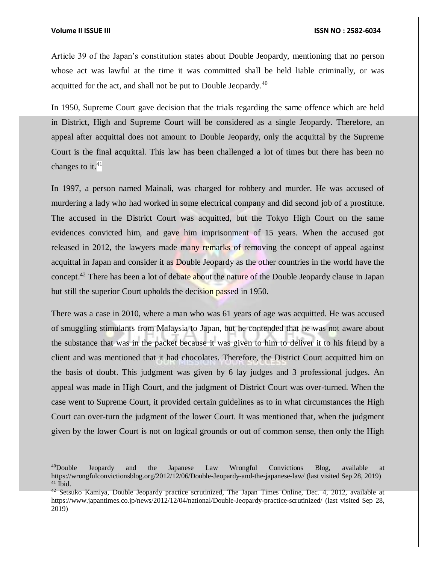$\overline{a}$ 

Article 39 of the Japan's constitution states about Double Jeopardy, mentioning that no person whose act was lawful at the time it was committed shall be held liable criminally, or was acquitted for the act, and shall not be put to Double Jeopardy.<sup>40</sup>

In 1950, Supreme Court gave decision that the trials regarding the same offence which are held in District, High and Supreme Court will be considered as a single Jeopardy. Therefore, an appeal after acquittal does not amount to Double Jeopardy, only the acquittal by the Supreme Court is the final acquittal. This law has been challenged a lot of times but there has been no changes to it. $41$ 

In 1997, a person named Mainali, was charged for robbery and murder. He was accused of murdering a lady who had worked in some electrical company and did second job of a prostitute. The accused in the District Court was acquitted, but the Tokyo High Court on the same evidences convicted him, and gave him imprisonment of 15 years. When the accused got released in 2012, the lawyers made many remarks of removing the concept of appeal against acquittal in Japan and consider it as Double Jeopardy as the other countries in the world have the concept.<sup>42</sup> There has been a lot of debate about the nature of the Double Jeopardy clause in Japan but still the superior Court upholds the decision passed in 1950.

There was a case in 2010, where a man who was 61 years of age was acquitted. He was accused of smuggling stimulants from Malaysia to Japan, but he contended that he was not aware about the substance that was in the packet because it was given to him to deliver it to his friend by a client and was mentioned that it had chocolates. Therefore, the District Court acquitted him on the basis of doubt. This judgment was given by 6 lay judges and 3 professional judges. An appeal was made in High Court, and the judgment of District Court was over-turned. When the case went to Supreme Court, it provided certain guidelines as to in what circumstances the High Court can over-turn the judgment of the lower Court. It was mentioned that, when the judgment given by the lower Court is not on logical grounds or out of common sense, then only the High

<sup>&</sup>lt;sup>40</sup>Double Jeopardy and the Japanese Law Wrongful Convictions Blog, available at [https://wrongfulconvictionsblog.org/2012/12/06/Double-Jeopardy-and-the-japanese-law/](https://wrongfulconvictionsblog.org/2012/12/06/double-jeopardy-and-the-japanese-law/) (last visited Sep 28, 2019)  $41$  Ibid.

 $42$  Setsuko Kamiya, Double Jeopardy practice scrutinized, The Japan Times Online, Dec. 4, 2012, available at [https://www.japantimes.co.jp/news/2012/12/04/national/Double-Jeopardy-practice-scrutinized/](https://www.japantimes.co.jp/news/2012/12/04/national/double-jeopardy-practice-scrutinized/) (last visited Sep 28, 2019)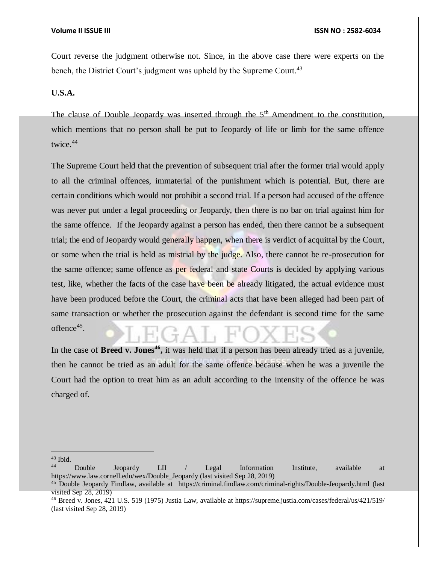Court reverse the judgment otherwise not. Since, in the above case there were experts on the bench, the District Court's judgment was upheld by the Supreme Court.<sup>43</sup>

### **U.S.A.**

The clause of Double Jeopardy was inserted through the  $5<sup>th</sup>$  Amendment to the constitution, which mentions that no person shall be put to Jeopardy of life or limb for the same offence twice.<sup>44</sup>

The Supreme Court held that the prevention of subsequent trial after the former trial would apply to all the criminal offences, immaterial of the punishment which is potential. But, there are certain conditions which would not prohibit a second trial. If a person had accused of the offence was never put under a legal proceeding or Jeopardy, then there is no bar on trial against him for the same offence. If the Jeopardy against a person has ended, then there cannot be a subsequent trial; the end of Jeopardy would generally happen, when there is verdict of acquittal by the Court, or some when the trial is held as mistrial by the judge. Also, there cannot be re-prosecution for the same offence; same offence as per federal and state Courts is decided by applying various test, like, whether the facts of the case have been be already litigated, the actual evidence must have been produced before the Court, the criminal acts that have been alleged had been part of same transaction or whether the prosecution against the defendant is second time for the same offence 45 .

In the case of **Breed v. Jones<sup>46</sup>**, it was held that if a person has been already tried as a juvenile, then he cannot be tried as an adult for the same offence because when he was a juvenile the Court had the option to treat him as an adult according to the intensity of the offence he was charged of.

 $\overline{a}$ <sup>43</sup> Ibid.

<sup>44</sup> Double Jeopardy LII / Legal Information Institute, available at [https://www.law.cornell.edu/wex/Double\\_Jeopardy](https://www.law.cornell.edu/wex/double_jeopardy) (last visited Sep 28, 2019)

<sup>45</sup> Double Jeopardy Findlaw, available at [https://criminal.findlaw.com/criminal-rights/Double-Jeopardy.html](https://criminal.findlaw.com/criminal-rights/double-jeopardy.html) (last visited Sep 28, 2019)

<sup>46</sup> Breed v. Jones, 421 U.S. 519 (1975) Justia Law, available at<https://supreme.justia.com/cases/federal/us/421/519/> (last visited Sep 28, 2019)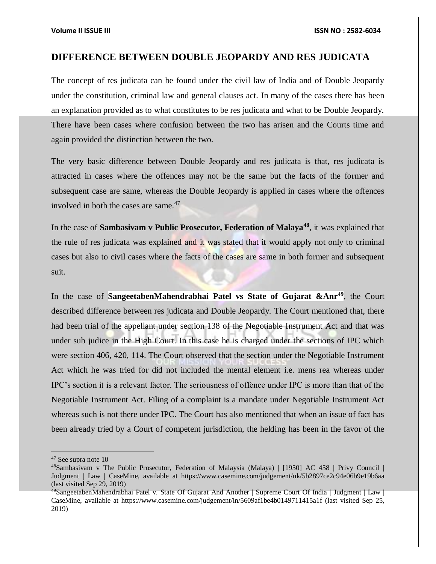# **DIFFERENCE BETWEEN DOUBLE JEOPARDY AND RES JUDICATA**

The concept of res judicata can be found under the civil law of India and of Double Jeopardy under the constitution, criminal law and general clauses act. In many of the cases there has been an explanation provided as to what constitutes to be res judicata and what to be Double Jeopardy. There have been cases where confusion between the two has arisen and the Courts time and again provided the distinction between the two.

The very basic difference between Double Jeopardy and res judicata is that, res judicata is attracted in cases where the offences may not be the same but the facts of the former and subsequent case are same, whereas the Double Jeopardy is applied in cases where the offences involved in both the cases are same. $47$ 

In the case of **Sambasivam v Public Prosecutor, Federation of Malaya<sup>48</sup>**, it was explained that the rule of res judicata was explained and it was stated that it would apply not only to criminal cases but also to civil cases where the facts of the cases are same in both former and subsequent suit.

In the case of **SangeetabenMahendrabhai Patel vs State of Gujarat &Anr<sup>49</sup>**, the Court described difference between res judicata and Double Jeopardy. The Court mentioned that, there had been trial of the appellant under section 138 of the Negotiable Instrument Act and that was under sub judice in the High Court. In this case he is charged under the sections of IPC which were section 406, 420, 114. The Court observed that the section under the Negotiable Instrument Act which he was tried for did not included the mental element i.e. mens rea whereas under IPC's section it is a relevant factor. The seriousness of offence under IPC is more than that of the Negotiable Instrument Act. Filing of a complaint is a mandate under Negotiable Instrument Act whereas such is not there under IPC. The Court has also mentioned that when an issue of fact has been already tried by a Court of competent jurisdiction, the helding has been in the favor of the

<sup>47</sup> See supra note 10

<sup>48</sup>Sambasivam v The Public Prosecutor, Federation of Malaysia (Malaya) | [1950] AC 458 | Privy Council | Judgment | Law | CaseMine, available at <https://www.casemine.com/judgement/uk/5b2897ce2c94e06b9e19b6aa> (last visited Sep 29, 2019)

<sup>&</sup>lt;sup>49</sup>SangeetabenMahendrabhai Patel v. State Of Gujarat And Another | Supreme Court Of India | Judgment | Law | CaseMine, available at<https://www.casemine.com/judgement/in/5609af1be4b0149711415a1f> (last visited Sep 25, 2019)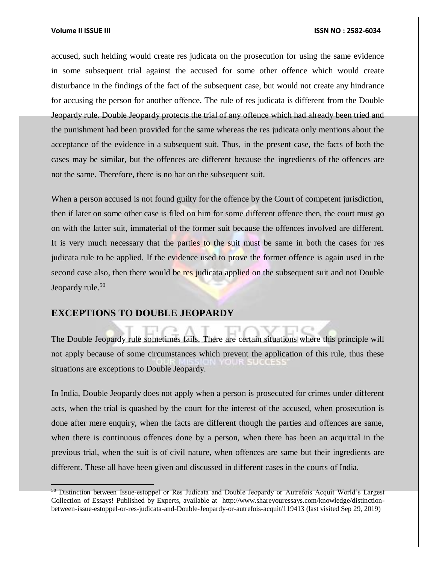$\overline{a}$ 

accused, such helding would create res judicata on the prosecution for using the same evidence in some subsequent trial against the accused for some other offence which would create disturbance in the findings of the fact of the subsequent case, but would not create any hindrance for accusing the person for another offence. The rule of res judicata is different from the Double Jeopardy rule. Double Jeopardy protects the trial of any offence which had already been tried and the punishment had been provided for the same whereas the res judicata only mentions about the acceptance of the evidence in a subsequent suit. Thus, in the present case, the facts of both the cases may be similar, but the offences are different because the ingredients of the offences are not the same. Therefore, there is no bar on the subsequent suit.

When a person accused is not found guilty for the offence by the Court of competent jurisdiction, then if later on some other case is filed on him for some different offence then, the court must go on with the latter suit, immaterial of the former suit because the offences involved are different. It is very much necessary that the parties to the suit must be same in both the cases for res judicata rule to be applied. If the evidence used to prove the former offence is again used in the second case also, then there would be res judicata applied on the subsequent suit and not Double Jeopardy rule.<sup>50</sup>

### **EXCEPTIONS TO DOUBLE JEOPARDY**

The Double Jeopardy rule sometimes fails. There are certain situations where this principle will not apply because of some circumstances which prevent the application of this rule, thus these situations are exceptions to Double Jeopardy.

In India, Double Jeopardy does not apply when a person is prosecuted for crimes under different acts, when the trial is quashed by the court for the interest of the accused, when prosecution is done after mere enquiry, when the facts are different though the parties and offences are same, when there is continuous offences done by a person, when there has been an acquittal in the previous trial, when the suit is of civil nature, when offences are same but their ingredients are different. These all have been given and discussed in different cases in the courts of India.

<sup>&</sup>lt;sup>50</sup> Distinction between Issue-estoppel or Res Judicata and Double Jeopardy or Autrefois Acquit World's Largest Collection of Essays! Published by Experts, available at [http://www.shareyouressays.com/knowledge/distinction](http://www.shareyouressays.com/knowledge/distinction-between-issue-estoppel-or-res-judicata-and-double-jeopardy-or-autrefois-acquit/119413)[between-issue-estoppel-or-res-judicata-and-Double-Jeopardy-or-autrefois-acquit/119413](http://www.shareyouressays.com/knowledge/distinction-between-issue-estoppel-or-res-judicata-and-double-jeopardy-or-autrefois-acquit/119413) (last visited Sep 29, 2019)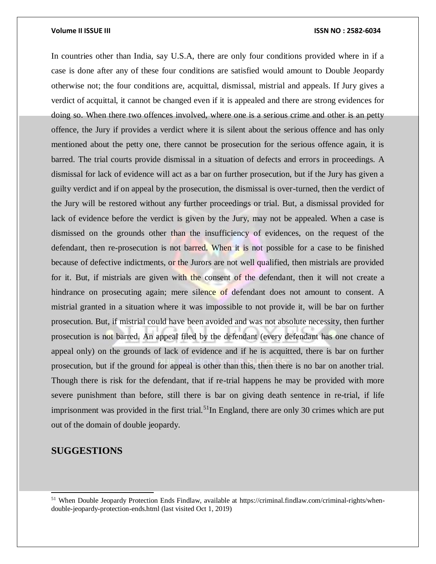In countries other than India, say U.S.A, there are only four conditions provided where in if a case is done after any of these four conditions are satisfied would amount to Double Jeopardy otherwise not; the four conditions are, acquittal, dismissal, mistrial and appeals. If Jury gives a verdict of acquittal, it cannot be changed even if it is appealed and there are strong evidences for doing so. When there two offences involved, where one is a serious crime and other is an petty offence, the Jury if provides a verdict where it is silent about the serious offence and has only mentioned about the petty one, there cannot be prosecution for the serious offence again, it is barred. The trial courts provide dismissal in a situation of defects and errors in proceedings. A dismissal for lack of evidence will act as a bar on further prosecution, but if the Jury has given a guilty verdict and if on appeal by the prosecution, the dismissal is over-turned, then the verdict of the Jury will be restored without any further proceedings or trial. But, a dismissal provided for lack of evidence before the verdict is given by the Jury, may not be appealed. When a case is dismissed on the grounds other than the insufficiency of evidences, on the request of the defendant, then re-prosecution is not barred. When it is not possible for a case to be finished because of defective indictments, or the Jurors are not well qualified, then mistrials are provided for it. But, if mistrials are given with the consent of the defendant, then it will not create a hindrance on prosecuting again; mere silence of defendant does not amount to consent. A mistrial granted in a situation where it was impossible to not provide it, will be bar on further prosecution. But, if mistrial could have been avoided and was not absolute necessity, then further prosecution is not barred. An appeal filed by the defendant (every defendant has one chance of appeal only) on the grounds of lack of evidence and if he is acquitted, there is bar on further prosecution, but if the ground for appeal is other than this, then there is no bar on another trial. Though there is risk for the defendant, that if re-trial happens he may be provided with more severe punishment than before, still there is bar on giving death sentence in re-trial, if life imprisonment was provided in the first trial.<sup>51</sup>In England, there are only 30 crimes which are put out of the domain of double jeopardy.

# **SUGGESTIONS**

l

<sup>51</sup> When Double Jeopardy Protection Ends Findlaw, available at [https://criminal.findlaw.com/criminal-rights/when](https://criminal.findlaw.com/criminal-rights/when-double-jeopardy-protection-ends.html)[double-jeopardy-protection-ends.html](https://criminal.findlaw.com/criminal-rights/when-double-jeopardy-protection-ends.html) (last visited Oct 1, 2019)